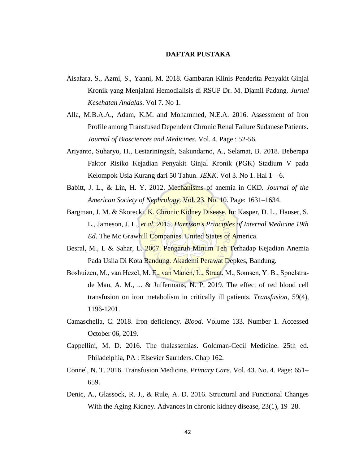## **DAFTAR PUSTAKA**

- Aisafara, S., Azmi, S., Yanni, M. 2018. Gambaran Klinis Penderita Penyakit Ginjal Kronik yang Menjalani Hemodialisis di RSUP Dr. M. Djamil Padang. *Jurnal Kesehatan Andalas*. Vol 7. No 1.
- Alla, M.B.A.A., Adam, K.M. and Mohammed, N.E.A. 2016. Assessment of Iron Profile among Transfused Dependent Chronic Renal Failure Sudanese Patients. *Journal of Biosciences and Medicines.* Vol. 4. Page : 52-56.
- Ariyanto, Suharyo, H., Lestariningsih, Sakundarno, A., Selamat, B. 2018. Beberapa Faktor Risiko Kejadian Penyakit Ginjal Kronik (PGK) Stadium V pada Kelompok Usia Kurang dari 50 Tahun. *JEKK*. Vol 3. No 1. Hal 1 – 6.
- Babitt, J. L., & Lin, H. Y. 2012. Mechanisms of anemia in CKD. *Journal of the American Society of Nephrology*. Vol. 23. No. 10. Page: 1631–1634.
- Bargman, J. M. & Skorecki, K. Chronic Kidney Disease. In: Kasper, D. L., Hauser, S. L., Jameson, J. L., *et al*. 2015. *Harrison's Principles of Internal Medicine 19th Ed*. The Mc Grawhill Companies. United States of America.
- Besral, M., L & Sahar, L. 2007. Pengaruh Minum Teh Terhadap Kejadian Anemia Pada Usila Di Kota Bandung. Akademi Perawat Depkes, Bandung.
- Boshuizen, M., van Hezel, M. E., van Manen, L., Straat, M., Somsen, Y. B., Spoelstrade Man, A. M., ... & Juffermans, N. P. 2019. The effect of red blood cell transfusion on iron metabolism in critically ill patients. *Transfusion,* 59(4), 1196-1201.
- Camaschella, C. 2018. Iron deficiency. *Blood*. Volume 133. Number 1. Accessed October 06, 2019.
- Cappellini, M. D. 2016. The thalassemias. Goldman-Cecil Medicine. 25th ed. Philadelphia, PA : Elsevier Saunders. Chap 162.
- Connel, N. T. 2016. Transfusion Medicine. *Primary Care*. Vol. 43. No. 4. Page: 651– 659.
- Denic, A., Glassock, R. J., & Rule, A. D. 2016. Structural and Functional Changes With the Aging Kidney. Advances in chronic kidney disease, 23(1), 19–28.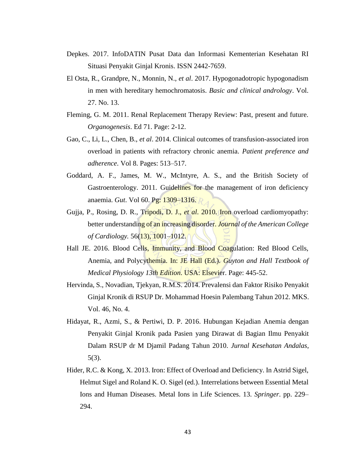- Depkes. 2017. InfoDATIN Pusat Data dan Informasi Kementerian Kesehatan RI Situasi Penyakit Ginjal Kronis. ISSN 2442-7659.
- El Osta, R., Grandpre, N., Monnin, N., *et al*. 2017. Hypogonadotropic hypogonadism in men with hereditary hemochromatosis. *Basic and clinical andrology*. Vol. 27. No. 13.
- Fleming, G. M. 2011. Renal Replacement Therapy Review: Past, present and future. *Organogenesis*. Ed 71. Page: 2-12.
- Gao, C., Li, L., Chen, B., *et al*. 2014. Clinical outcomes of transfusion-associated iron overload in patients with refractory chronic anemia. *Patient preference and adherence*. Vol 8. Pages: 513–517.
- Goddard, A. F., James, M. W., McIntyre, A. S., and the British Society of Gastroenterology. 2011. Guidelines for the management of iron deficiency anaemia. *Gut*. Vol 60. Pg: 1309–1316.
- Gujja, P., Rosing, D. R., Tripodi, D. J., *et al*. 2010. Iron overload cardiomyopathy: better understanding of an increasing disorder. *Journal of the American College of Cardiology.* 56(13), 1001–1012.
- Hall JE. 2016. Blood Cells, Immunity, and Blood Coagulation: Red Blood Cells, Anemia, and Polycythemia. In: JE Hall (Ed.). *Guyton and Hall Textbook of Medical Physiology 13th Edition*. USA: Elsevier. Page: 445-52.
- Hervinda, S., Novadian, Tjekyan, R.M.S. 2014. Prevalensi dan Faktor Risiko Penyakit Ginjal Kronik di RSUP Dr. Mohammad Hoesin Palembang Tahun 2012. MKS. Vol. 46, No. 4.
- Hidayat, R., Azmi, S., & Pertiwi, D. P. 2016. Hubungan Kejadian Anemia dengan Penyakit Ginjal Kronik pada Pasien yang Dirawat di Bagian Ilmu Penyakit Dalam RSUP dr M Djamil Padang Tahun 2010. *Jurnal Kesehatan Andalas*, 5(3).
- Hider, R.C. & Kong, X. 2013. Iron: Effect of Overload and Deficiency. In Astrid Sigel, Helmut Sigel and Roland K. O. Sigel (ed.). Interrelations between Essential Metal Ions and Human Diseases. Metal Ions in Life Sciences. 13. *Springer*. pp. 229– 294.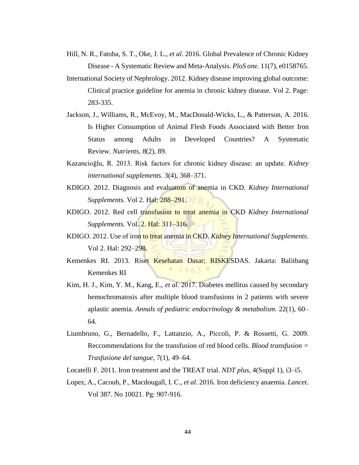- Hill, N. R., Fatoba, S. T., Oke, J. L., *et al*. 2016. Global Prevalence of Chronic Kidney Disease - A Systematic Review and Meta-Analysis. *PloS one.* 11(7), e0158765.
- International Society of Nephrology. 2012. Kidney disease improving global outcome: Clinical practice guideline for anemia in chronic kidney disease. Vol 2. Page: 283-335.
- Jackson, J., Williams, R., McEvoy, M., MacDonald-Wicks, L., & Patterson, A. 2016. Is Higher Consumption of Animal Flesh Foods Associated with Better Iron Status among Adults in Developed Countries? A Systematic Review. *Nutrients*, *8*(2), 89.
- Kazancioğlu, R. 2013. Risk factors for chronic kidney disease: an update. *Kidney international supplements.* 3(4), 368–371.
- KDIGO. 2012. Diagnosis and evaluation of anemia in CKD. *Kidney International Supplements.* Vol 2. Hal: 288–291. ER
- KDIGO. 2012. Red cell transfusion to treat anemia in CKD *Kidney International Supplements.* Vol. **2. Hal: 311–316.**
- KDIGO. 2012. Use of iron to treat anemia in CKD. *Kidney International Supplements*. Vol 2. Hal: 292–298.
- Kemenkes RI. 2013. Riset Kesehatan Dasar; RISKESDAS. Jakarta: Balitbang  $1963$ Kemenkes RI
- Kim, H. J., Kim, Y. M., Kang, E., *et al*. 2017. Diabetes mellitus caused by secondary hemochromatosis after multiple blood transfusions in 2 patients with severe aplastic anemia. *Annals of pediatric endocrinology & metabolism.* 22(1), 60– 64.
- Liumbruno, G., Bernadello, F., Lattanzio, A., Piccoli, P. & Rossetti, G. 2009. Reccommendations for the transfusion of red blood cells. *Blood transfusion = Trasfusione del sangue*, 7(1), 49–64.
- Locatelli F. 2011. Iron treatment and the TREAT trial. *NDT plus*, 4(Suppl 1), i3–i5.
- Lopez, A., Cacoub, P., Macdougall, I. C., *et al*. 2016. Iron deficiency anaemia. *Lancet*. Vol 387. No 10021. Pg: 907-916.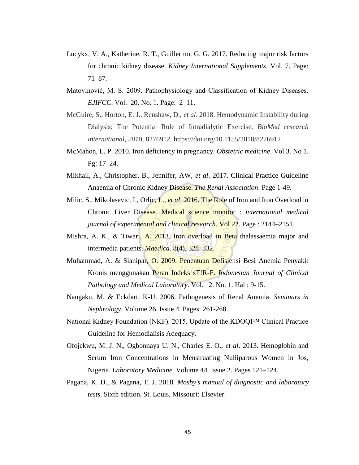- Lucykx, V. A., Katherine, R. T., Guillermo, G. G. 2017. Reducing major risk factors for chronic kidney disease. *Kidney International Supplements*. Vol. 7. Page: 71–87.
- Matovinović, M. S. 2009. Pathophysiology and Classification of Kidney Diseases. *EJIFCC*. Vol. 20. No. 1. Page: 2–11.
- McGuire, S., Horton, E. J., Renshaw, D., *et al*. 2018. Hemodynamic Instability during Dialysis: The Potential Role of Intradialytic Exercise. *BioMed research international*, *2018*, 8276912. https://doi.org/10.1155/2018/8276912
- McMahon, L. P. 2010. Iron deficiency in pregnancy. *Obstetric medicine*. Vol 3. No 1. Pg: 17–24.
- Mikhail, A., Christopher, B., Jennifer, AW, *et al*. 2017. Clinical Practice Guideline Anaemia of Chronic Kidney Disease. *The Renal Association*. Page 1-49.
- Milic, S., Mikolasevic, I., Orlic, L., *et al.* 2016. The Role of Iron and Iron Overload in Chronic Liver Disease. Medical science monitor : *international medical journal of experimental and clinical research*. Vol 22. Page : 2144–2151.
- Mishra, A. K., & Tiwari, A. 2013. Iron overload in Beta thalassaemia major and intermedia patients. *Maedica.* 8(4), 328–332.
- Muhammad, A. & Sianipar, O. 2009. Penentuan Defisiensi Besi Anemia Penyakit Kronis menggunakan Peran Indeks sTfR-F. *Indonesian Journal of Clinical Pathology and Medical Laboratory*. Vol. 12. No. 1. Hal : 9-15.
- Nangaku, M. & Eckdart, K-U. 2006. Pathogenesis of Renal Anemia. *Seminars in Nephrology*. Volume 26. Issue 4. Pages: 261-268.
- National Kidney Foundation (NKF). 2015. Update of the KDOQI™ Clinical Practice Guideline for Hemodialisis Adequacy.
- Ofojekwu, M. J. N., Ogbonnaya U. N., Charles E. O., *et al*. 2013. Hemoglobin and Serum Iron Concentrations in Menstruating Nulliparous Women in Jos, Nigeria. *Laboratory Medicine*. Volume 44. Issue 2. Pages 121–124.
- Pagana, K. D., & Pagana, T. J. 2018. *Mosby's manual of diagnostic and laboratory tests*. Sixth edition. St. Louis, Missouri: Elsevier.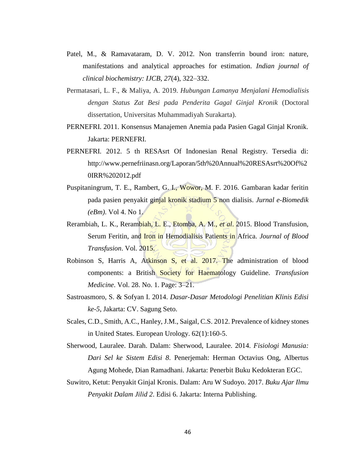- Patel, M., & Ramavataram, D. V. 2012. Non transferrin bound iron: nature, manifestations and analytical approaches for estimation. *Indian journal of clinical biochemistry: IJCB*, *27*(4), 322–332.
- Permatasari, L. F., & Maliya, A. 2019. *Hubungan Lamanya Menjalani Hemodialisis dengan Status Zat Besi pada Penderita Gagal Ginjal Kronik* (Doctoral dissertation, Universitas Muhammadiyah Surakarta).
- PERNEFRI. 2011. Konsensus Manajemen Anemia pada Pasien Gagal Ginjal Kronik. Jakarta: PERNEFRI.
- PERNEFRI. 2012. 5 th RESAsrt Of Indonesian Renal Registry. Tersedia di: http://www.pernefriinasn.org/Laporan/5th%20Annual%20RESAsrt%20Of%2 0IRR%202012.pdf
- Puspitaningrum, T. E., Rambert, G. I., Wowor, M. F. 2016. Gambaran kadar feritin pada pasien penyakit ginjal kronik stadium 5 non dialisis. *Jurnal e-Biomedik (eBm)*. Vol 4. No 1.
- Rerambiah, L. K., Rerambiah, L. E., Etomba, A. M., *et al*. 2015. Blood Transfusion, Serum Feritin, and Iron in Hemodialisis Patients in Africa. *Journal of Blood Transfusion*. Vol. 2015.
- Robinson S, Harris A, Atkinson S, et al. 2017. The administration of blood components: a British Society for Haematology Guideline. *Transfusion Medicine*. Vol. 28. No. 1. Page: 3–21.
- Sastroasmoro, S. & Sofyan I. 2014. *Dasar-Dasar Metodologi Penelitian Klinis Edisi ke-5*, Jakarta: CV. Sagung Seto.
- Scales, C.D., Smith, A.C., Hanley, J.M., Saigal, C.S. 2012. Prevalence of kidney stones in United States. European Urology. 62(1):160-5.
- Sherwood, Lauralee. Darah. Dalam: Sherwood, Lauralee. 2014. *Fisiologi Manusia: Dari Sel ke Sistem Edisi 8*. Penerjemah: Herman Octavius Ong, Albertus Agung Mohede, Dian Ramadhani. Jakarta: Penerbit Buku Kedokteran EGC.
- Suwitro, Ketut: Penyakit Ginjal Kronis. Dalam: Aru W Sudoyo. 2017. *Buku Ajar Ilmu Penyakit Dalam Jilid 2*. Edisi 6. Jakarta: Interna Publishing.